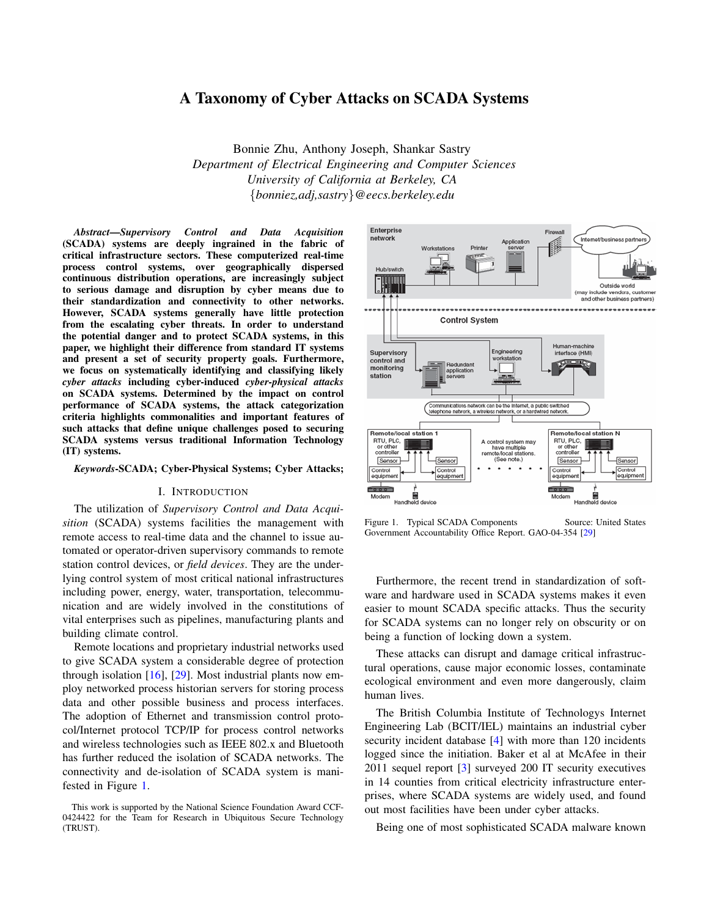# A Taxonomy of Cyber Attacks on SCADA Systems

Bonnie Zhu, Anthony Joseph, Shankar Sastry *Department of Electrical Engineering and Computer Sciences University of California at Berkeley, CA* {*bonniez,adj,sastry*}*@eecs.berkeley.edu*

*Abstract*—*Supervisory Control and Data Acquisition* (SCADA) systems are deeply ingrained in the fabric of critical infrastructure sectors. These computerized real-time process control systems, over geographically dispersed continuous distribution operations, are increasingly subject to serious damage and disruption by cyber means due to their standardization and connectivity to other networks. However, SCADA systems generally have little protection from the escalating cyber threats. In order to understand the potential danger and to protect SCADA systems, in this paper, we highlight their difference from standard IT systems and present a set of security property goals. Furthermore, we focus on systematically identifying and classifying likely *cyber attacks* including cyber-induced *cyber-physical attacks* on SCADA systems. Determined by the impact on control performance of SCADA systems, the attack categorization criteria highlights commonalities and important features of such attacks that define unique challenges posed to securing SCADA systems versus traditional Information Technology (IT) systems.

#### *Keywords*-SCADA; Cyber-Physical Systems; Cyber Attacks;

#### I. INTRODUCTION

The utilization of *Supervisory Control and Data Acquisition* (SCADA) systems facilities the management with remote access to real-time data and the channel to issue automated or operator-driven supervisory commands to remote station control devices, or *field devices*. They are the underlying control system of most critical national infrastructures including power, energy, water, transportation, telecommunication and are widely involved in the constitutions of vital enterprises such as pipelines, manufacturing plants and building climate control.

Remote locations and proprietary industrial networks used to give SCADA system a considerable degree of protection through isolation  $[16]$ ,  $[29]$ . Most industrial plants now employ networked process historian servers for storing process data and other possible business and process interfaces. The adoption of Ethernet and transmission control protocol/Internet protocol TCP/IP for process control networks and wireless technologies such as IEEE 802.x and Bluetooth has further reduced the isolation of SCADA networks. The connectivity and de-isolation of SCADA system is manifested in Figure [1.](#page-0-0)



<span id="page-0-0"></span>Figure 1. Typical SCADA Components Source: United States Government Accountability Office Report. GAO-04-354 [\[29\]](#page-8-1)

Furthermore, the recent trend in standardization of software and hardware used in SCADA systems makes it even easier to mount SCADA specific attacks. Thus the security for SCADA systems can no longer rely on obscurity or on being a function of locking down a system.

These attacks can disrupt and damage critical infrastructural operations, cause major economic losses, contaminate ecological environment and even more dangerously, claim human lives.

The British Columbia Institute of Technologys Internet Engineering Lab (BCIT/IEL) maintains an industrial cyber security incident database [\[4\]](#page-7-0) with more than 120 incidents logged since the initiation. Baker et al at McAfee in their 2011 sequel report [\[3\]](#page-7-1) surveyed 200 IT security executives in 14 counties from critical electricity infrastructure enterprises, where SCADA systems are widely used, and found out most facilities have been under cyber attacks.

Being one of most sophisticated SCADA malware known

This work is supported by the National Science Foundation Award CCF-0424422 for the Team for Research in Ubiquitous Secure Technology (TRUST).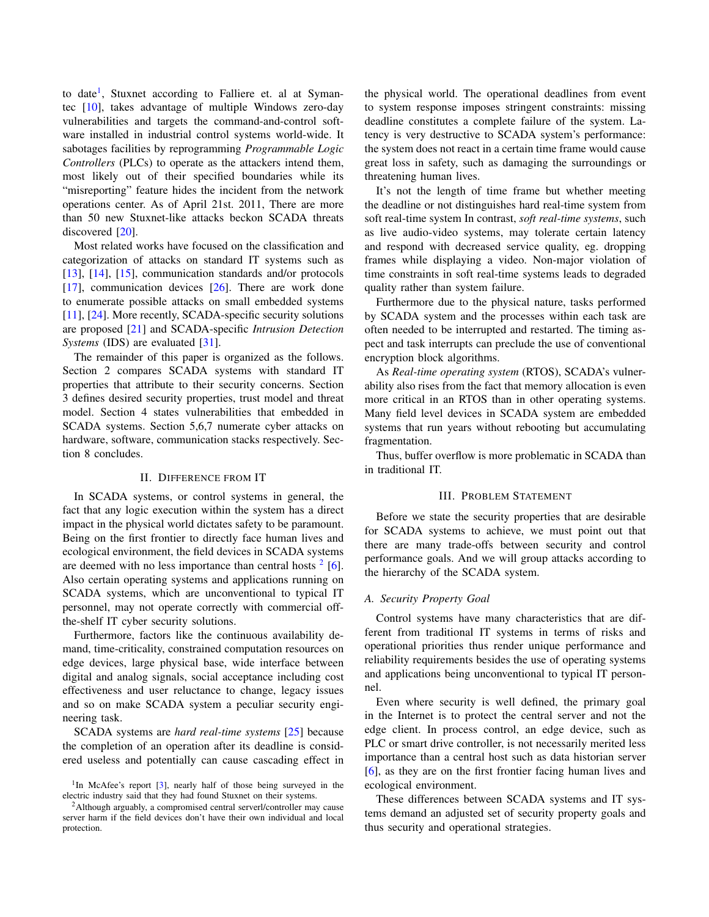to date<sup>[1](#page-1-0)</sup>, Stuxnet according to Falliere et. al at Symantec [\[10\]](#page-8-2), takes advantage of multiple Windows zero-day vulnerabilities and targets the command-and-control software installed in industrial control systems world-wide. It sabotages facilities by reprogramming *Programmable Logic Controllers* (PLCs) to operate as the attackers intend them, most likely out of their specified boundaries while its "misreporting" feature hides the incident from the network operations center. As of April 21st. 2011, There are more than 50 new Stuxnet-like attacks beckon SCADA threats discovered [\[20\]](#page-8-3).

Most related works have focused on the classification and categorization of attacks on standard IT systems such as [\[13\]](#page-8-4), [\[14\]](#page-8-5), [\[15\]](#page-8-6), communication standards and/or protocols [\[17\]](#page-8-7), communication devices [\[26\]](#page-8-8). There are work done to enumerate possible attacks on small embedded systems [\[11\]](#page-8-9), [\[24\]](#page-8-10). More recently, SCADA-specific security solutions are proposed [\[21\]](#page-8-11) and SCADA-specific *Intrusion Detection Systems* (IDS) are evaluated [\[31\]](#page-8-12).

The remainder of this paper is organized as the follows. Section 2 compares SCADA systems with standard IT properties that attribute to their security concerns. Section 3 defines desired security properties, trust model and threat model. Section 4 states vulnerabilities that embedded in SCADA systems. Section 5,6,7 numerate cyber attacks on hardware, software, communication stacks respectively. Section 8 concludes.

#### II. DIFFERENCE FROM IT

In SCADA systems, or control systems in general, the fact that any logic execution within the system has a direct impact in the physical world dictates safety to be paramount. Being on the first frontier to directly face human lives and ecological environment, the field devices in SCADA systems are deemed with no less importance than central hosts  $2$  [\[6\]](#page-7-2). Also certain operating systems and applications running on SCADA systems, which are unconventional to typical IT personnel, may not operate correctly with commercial offthe-shelf IT cyber security solutions.

Furthermore, factors like the continuous availability demand, time-criticality, constrained computation resources on edge devices, large physical base, wide interface between digital and analog signals, social acceptance including cost effectiveness and user reluctance to change, legacy issues and so on make SCADA system a peculiar security engineering task.

SCADA systems are *hard real-time systems* [\[25\]](#page-8-13) because the completion of an operation after its deadline is considered useless and potentially can cause cascading effect in the physical world. The operational deadlines from event to system response imposes stringent constraints: missing deadline constitutes a complete failure of the system. Latency is very destructive to SCADA system's performance: the system does not react in a certain time frame would cause great loss in safety, such as damaging the surroundings or threatening human lives.

It's not the length of time frame but whether meeting the deadline or not distinguishes hard real-time system from soft real-time system In contrast, *soft real-time systems*, such as live audio-video systems, may tolerate certain latency and respond with decreased service quality, eg. dropping frames while displaying a video. Non-major violation of time constraints in soft real-time systems leads to degraded quality rather than system failure.

Furthermore due to the physical nature, tasks performed by SCADA system and the processes within each task are often needed to be interrupted and restarted. The timing aspect and task interrupts can preclude the use of conventional encryption block algorithms.

As *Real-time operating system* (RTOS), SCADA's vulnerability also rises from the fact that memory allocation is even more critical in an RTOS than in other operating systems. Many field level devices in SCADA system are embedded systems that run years without rebooting but accumulating fragmentation.

Thus, buffer overflow is more problematic in SCADA than in traditional IT.

# III. PROBLEM STATEMENT

Before we state the security properties that are desirable for SCADA systems to achieve, we must point out that there are many trade-offs between security and control performance goals. And we will group attacks according to the hierarchy of the SCADA system.

# *A. Security Property Goal*

Control systems have many characteristics that are different from traditional IT systems in terms of risks and operational priorities thus render unique performance and reliability requirements besides the use of operating systems and applications being unconventional to typical IT personnel.

Even where security is well defined, the primary goal in the Internet is to protect the central server and not the edge client. In process control, an edge device, such as PLC or smart drive controller, is not necessarily merited less importance than a central host such as data historian server [\[6\]](#page-7-2), as they are on the first frontier facing human lives and ecological environment.

These differences between SCADA systems and IT systems demand an adjusted set of security property goals and thus security and operational strategies.

<span id="page-1-0"></span><sup>&</sup>lt;sup>1</sup>In McAfee's report [\[3\]](#page-7-1), nearly half of those being surveyed in the electric industry said that they had found Stuxnet on their systems.

<span id="page-1-1"></span><sup>2</sup>Although arguably, a compromised central serverl/controller may cause server harm if the field devices don't have their own individual and local protection.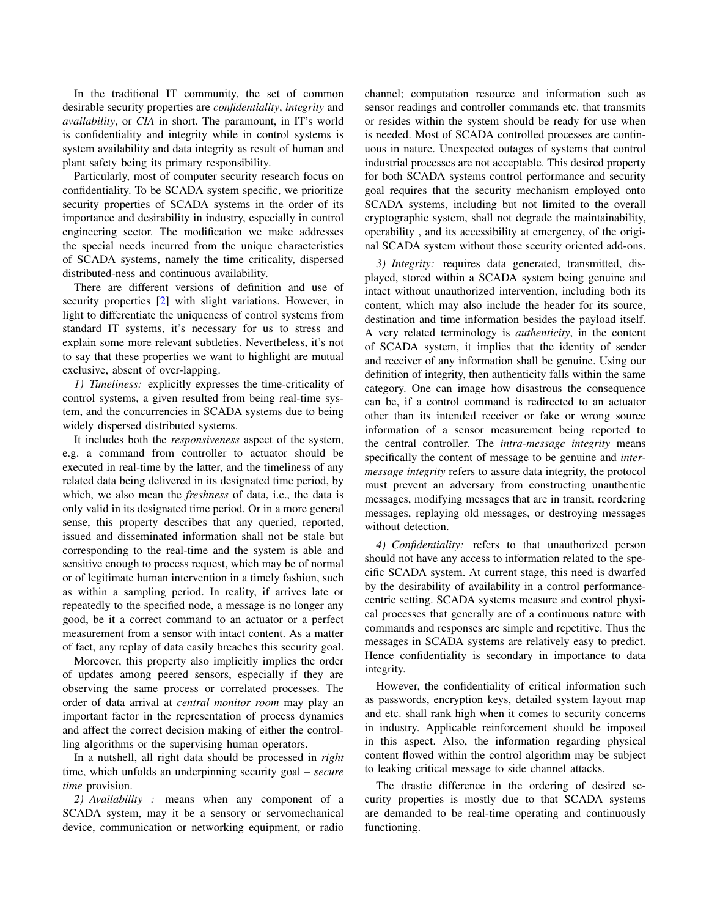In the traditional IT community, the set of common desirable security properties are *confidentiality*, *integrity* and *availability*, or *CIA* in short. The paramount, in IT's world is confidentiality and integrity while in control systems is system availability and data integrity as result of human and plant safety being its primary responsibility.

Particularly, most of computer security research focus on confidentiality. To be SCADA system specific, we prioritize security properties of SCADA systems in the order of its importance and desirability in industry, especially in control engineering sector. The modification we make addresses the special needs incurred from the unique characteristics of SCADA systems, namely the time criticality, dispersed distributed-ness and continuous availability.

There are different versions of definition and use of security properties [\[2\]](#page-7-3) with slight variations. However, in light to differentiate the uniqueness of control systems from standard IT systems, it's necessary for us to stress and explain some more relevant subtleties. Nevertheless, it's not to say that these properties we want to highlight are mutual exclusive, absent of over-lapping.

*1) Timeliness:* explicitly expresses the time-criticality of control systems, a given resulted from being real-time system, and the concurrencies in SCADA systems due to being widely dispersed distributed systems.

It includes both the *responsiveness* aspect of the system, e.g. a command from controller to actuator should be executed in real-time by the latter, and the timeliness of any related data being delivered in its designated time period, by which, we also mean the *freshness* of data, i.e., the data is only valid in its designated time period. Or in a more general sense, this property describes that any queried, reported, issued and disseminated information shall not be stale but corresponding to the real-time and the system is able and sensitive enough to process request, which may be of normal or of legitimate human intervention in a timely fashion, such as within a sampling period. In reality, if arrives late or repeatedly to the specified node, a message is no longer any good, be it a correct command to an actuator or a perfect measurement from a sensor with intact content. As a matter of fact, any replay of data easily breaches this security goal.

Moreover, this property also implicitly implies the order of updates among peered sensors, especially if they are observing the same process or correlated processes. The order of data arrival at *central monitor room* may play an important factor in the representation of process dynamics and affect the correct decision making of either the controlling algorithms or the supervising human operators.

In a nutshell, all right data should be processed in *right* time, which unfolds an underpinning security goal – *secure time* provision.

*2) Availability :* means when any component of a SCADA system, may it be a sensory or servomechanical device, communication or networking equipment, or radio channel; computation resource and information such as sensor readings and controller commands etc. that transmits or resides within the system should be ready for use when is needed. Most of SCADA controlled processes are continuous in nature. Unexpected outages of systems that control industrial processes are not acceptable. This desired property for both SCADA systems control performance and security goal requires that the security mechanism employed onto SCADA systems, including but not limited to the overall cryptographic system, shall not degrade the maintainability, operability , and its accessibility at emergency, of the original SCADA system without those security oriented add-ons.

*3) Integrity:* requires data generated, transmitted, displayed, stored within a SCADA system being genuine and intact without unauthorized intervention, including both its content, which may also include the header for its source, destination and time information besides the payload itself. A very related terminology is *authenticity*, in the content of SCADA system, it implies that the identity of sender and receiver of any information shall be genuine. Using our definition of integrity, then authenticity falls within the same category. One can image how disastrous the consequence can be, if a control command is redirected to an actuator other than its intended receiver or fake or wrong source information of a sensor measurement being reported to the central controller. The *intra-message integrity* means specifically the content of message to be genuine and *intermessage integrity* refers to assure data integrity, the protocol must prevent an adversary from constructing unauthentic messages, modifying messages that are in transit, reordering messages, replaying old messages, or destroying messages without detection.

*4) Confidentiality:* refers to that unauthorized person should not have any access to information related to the specific SCADA system. At current stage, this need is dwarfed by the desirability of availability in a control performancecentric setting. SCADA systems measure and control physical processes that generally are of a continuous nature with commands and responses are simple and repetitive. Thus the messages in SCADA systems are relatively easy to predict. Hence confidentiality is secondary in importance to data integrity.

However, the confidentiality of critical information such as passwords, encryption keys, detailed system layout map and etc. shall rank high when it comes to security concerns in industry. Applicable reinforcement should be imposed in this aspect. Also, the information regarding physical content flowed within the control algorithm may be subject to leaking critical message to side channel attacks.

The drastic difference in the ordering of desired security properties is mostly due to that SCADA systems are demanded to be real-time operating and continuously functioning.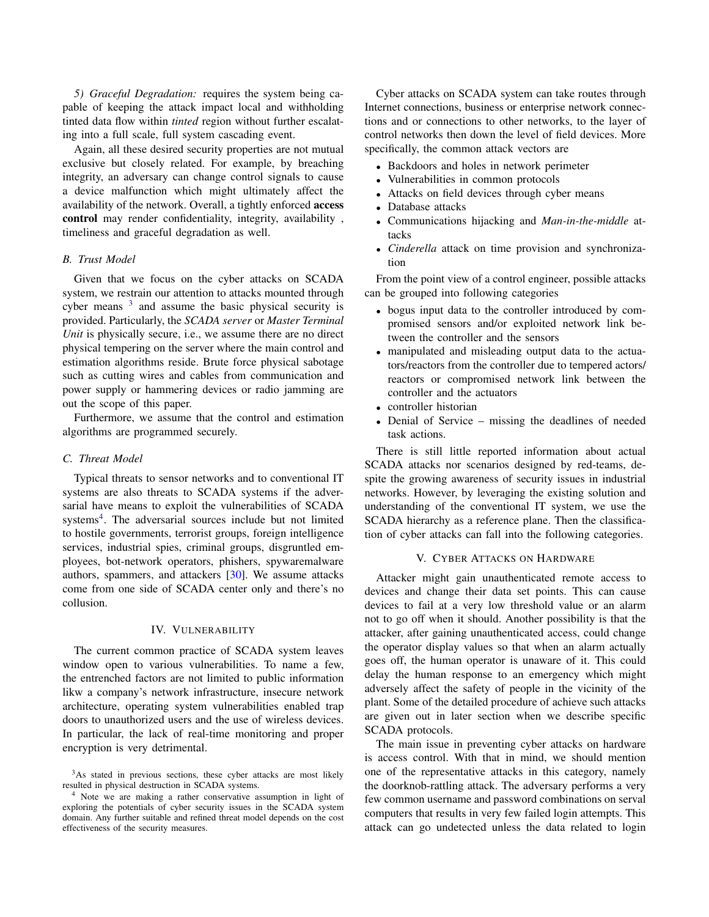*5) Graceful Degradation:* requires the system being capable of keeping the attack impact local and withholding tinted data flow within *tinted* region without further escalating into a full scale, full system cascading event.

Again, all these desired security properties are not mutual exclusive but closely related. For example, by breaching integrity, an adversary can change control signals to cause a device malfunction which might ultimately affect the availability of the network. Overall, a tightly enforced access control may render confidentiality, integrity, availability , timeliness and graceful degradation as well.

## *B. Trust Model*

Given that we focus on the cyber attacks on SCADA system, we restrain our attention to attacks mounted through cyber means  $3$  and assume the basic physical security is provided. Particularly, the *SCADA server* or *Master Terminal Unit* is physically secure, i.e., we assume there are no direct physical tempering on the server where the main control and estimation algorithms reside. Brute force physical sabotage such as cutting wires and cables from communication and power supply or hammering devices or radio jamming are out the scope of this paper.

Furthermore, we assume that the control and estimation algorithms are programmed securely.

## *C. Threat Model*

Typical threats to sensor networks and to conventional IT systems are also threats to SCADA systems if the adversarial have means to exploit the vulnerabilities of SCADA systems<sup>[4](#page-3-1)</sup>. The adversarial sources include but not limited to hostile governments, terrorist groups, foreign intelligence services, industrial spies, criminal groups, disgruntled employees, bot-network operators, phishers, spywaremalware authors, spammers, and attackers [\[30\]](#page-8-14). We assume attacks come from one side of SCADA center only and there's no collusion.

#### IV. VULNERABILITY

The current common practice of SCADA system leaves window open to various vulnerabilities. To name a few, the entrenched factors are not limited to public information likw a company's network infrastructure, insecure network architecture, operating system vulnerabilities enabled trap doors to unauthorized users and the use of wireless devices. In particular, the lack of real-time monitoring and proper encryption is very detrimental.

Cyber attacks on SCADA system can take routes through Internet connections, business or enterprise network connections and or connections to other networks, to the layer of control networks then down the level of field devices. More specifically, the common attack vectors are

- Backdoors and holes in network perimeter
- Vulnerabilities in common protocols
- Attacks on field devices through cyber means
- Database attacks
- Communications hijacking and *Man-in-the-middle* attacks
- *Cinderella* attack on time provision and synchronization

From the point view of a control engineer, possible attacks can be grouped into following categories

- bogus input data to the controller introduced by compromised sensors and/or exploited network link between the controller and the sensors
- manipulated and misleading output data to the actuators/reactors from the controller due to tempered actors/ reactors or compromised network link between the controller and the actuators
- controller historian
- Denial of Service missing the deadlines of needed task actions.

There is still little reported information about actual SCADA attacks nor scenarios designed by red-teams, despite the growing awareness of security issues in industrial networks. However, by leveraging the existing solution and understanding of the conventional IT system, we use the SCADA hierarchy as a reference plane. Then the classification of cyber attacks can fall into the following categories.

### V. CYBER ATTACKS ON HARDWARE

Attacker might gain unauthenticated remote access to devices and change their data set points. This can cause devices to fail at a very low threshold value or an alarm not to go off when it should. Another possibility is that the attacker, after gaining unauthenticated access, could change the operator display values so that when an alarm actually goes off, the human operator is unaware of it. This could delay the human response to an emergency which might adversely affect the safety of people in the vicinity of the plant. Some of the detailed procedure of achieve such attacks are given out in later section when we describe specific SCADA protocols.

The main issue in preventing cyber attacks on hardware is access control. With that in mind, we should mention one of the representative attacks in this category, namely the doorknob-rattling attack. The adversary performs a very few common username and password combinations on serval computers that results in very few failed login attempts. This attack can go undetected unless the data related to login

<span id="page-3-0"></span><sup>3</sup>As stated in previous sections, these cyber attacks are most likely resulted in physical destruction in SCADA systems.

<span id="page-3-1"></span><sup>4</sup> Note we are making a rather conservative assumption in light of exploring the potentials of cyber security issues in the SCADA system domain. Any further suitable and refined threat model depends on the cost effectiveness of the security measures.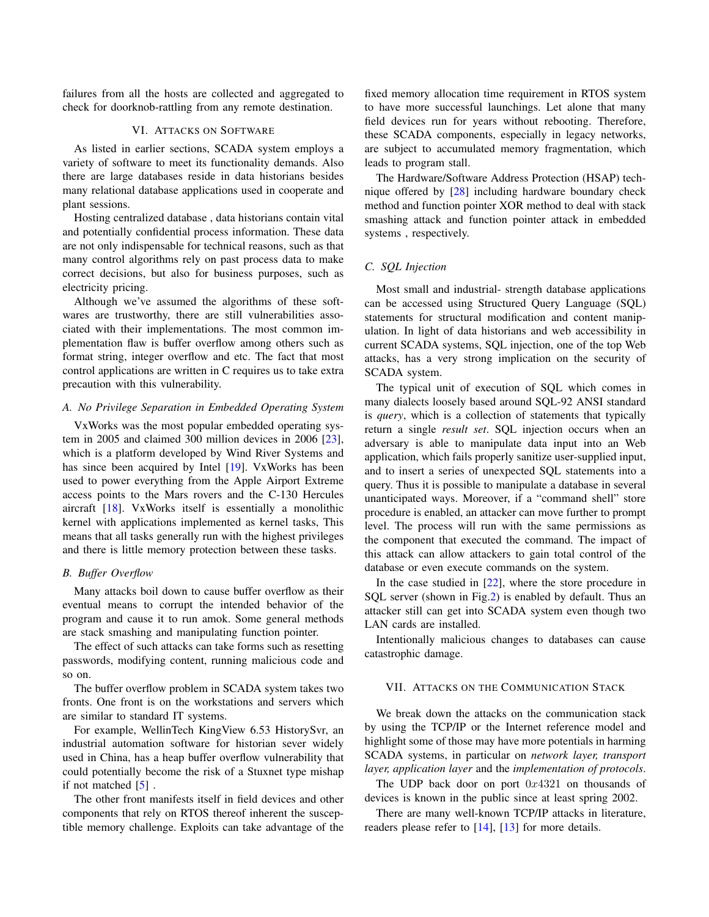failures from all the hosts are collected and aggregated to check for doorknob-rattling from any remote destination.

#### VI. ATTACKS ON SOFTWARE

As listed in earlier sections, SCADA system employs a variety of software to meet its functionality demands. Also there are large databases reside in data historians besides many relational database applications used in cooperate and plant sessions.

Hosting centralized database , data historians contain vital and potentially confidential process information. These data are not only indispensable for technical reasons, such as that many control algorithms rely on past process data to make correct decisions, but also for business purposes, such as electricity pricing.

Although we've assumed the algorithms of these softwares are trustworthy, there are still vulnerabilities associated with their implementations. The most common implementation flaw is buffer overflow among others such as format string, integer overflow and etc. The fact that most control applications are written in C requires us to take extra precaution with this vulnerability.

## *A. No Privilege Separation in Embedded Operating System*

VxWorks was the most popular embedded operating system in 2005 and claimed 300 million devices in 2006 [\[23\]](#page-8-15), which is a platform developed by Wind River Systems and has since been acquired by Intel [\[19\]](#page-8-16). VxWorks has been used to power everything from the Apple Airport Extreme access points to the Mars rovers and the C-130 Hercules aircraft [\[18\]](#page-8-17). VxWorks itself is essentially a monolithic kernel with applications implemented as kernel tasks, This means that all tasks generally run with the highest privileges and there is little memory protection between these tasks.

## *B. Buffer Overflow*

Many attacks boil down to cause buffer overflow as their eventual means to corrupt the intended behavior of the program and cause it to run amok. Some general methods are stack smashing and manipulating function pointer.

The effect of such attacks can take forms such as resetting passwords, modifying content, running malicious code and so on.

The buffer overflow problem in SCADA system takes two fronts. One front is on the workstations and servers which are similar to standard IT systems.

For example, WellinTech KingView 6.53 HistorySvr, an industrial automation software for historian sever widely used in China, has a heap buffer overflow vulnerability that could potentially become the risk of a Stuxnet type mishap if not matched [\[5\]](#page-7-4) .

The other front manifests itself in field devices and other components that rely on RTOS thereof inherent the susceptible memory challenge. Exploits can take advantage of the fixed memory allocation time requirement in RTOS system to have more successful launchings. Let alone that many field devices run for years without rebooting. Therefore, these SCADA components, especially in legacy networks, are subject to accumulated memory fragmentation, which leads to program stall.

The Hardware/Software Address Protection (HSAP) technique offered by [\[28\]](#page-8-18) including hardware boundary check method and function pointer XOR method to deal with stack smashing attack and function pointer attack in embedded systems , respectively.

#### *C. SQL Injection*

Most small and industrial- strength database applications can be accessed using Structured Query Language (SQL) statements for structural modification and content manipulation. In light of data historians and web accessibility in current SCADA systems, SQL injection, one of the top Web attacks, has a very strong implication on the security of SCADA system.

The typical unit of execution of SQL which comes in many dialects loosely based around SQL-92 ANSI standard is *query*, which is a collection of statements that typically return a single *result set*. SQL injection occurs when an adversary is able to manipulate data input into an Web application, which fails properly sanitize user-supplied input, and to insert a series of unexpected SQL statements into a query. Thus it is possible to manipulate a database in several unanticipated ways. Moreover, if a "command shell" store procedure is enabled, an attacker can move further to prompt level. The process will run with the same permissions as the component that executed the command. The impact of this attack can allow attackers to gain total control of the database or even execute commands on the system.

In the case studied in  $[22]$ , where the store procedure in SQL server (shown in Fig[.2\)](#page-5-0) is enabled by default. Thus an attacker still can get into SCADA system even though two LAN cards are installed.

Intentionally malicious changes to databases can cause catastrophic damage.

## VII. ATTACKS ON THE COMMUNICATION STACK

We break down the attacks on the communication stack by using the TCP/IP or the Internet reference model and highlight some of those may have more potentials in harming SCADA systems, in particular on *network layer, transport layer, application layer* and the *implementation of protocols*.

The UDP back door on port  $0x4321$  on thousands of devices is known in the public since at least spring 2002.

There are many well-known TCP/IP attacks in literature, readers please refer to [\[14\]](#page-8-5), [\[13\]](#page-8-4) for more details.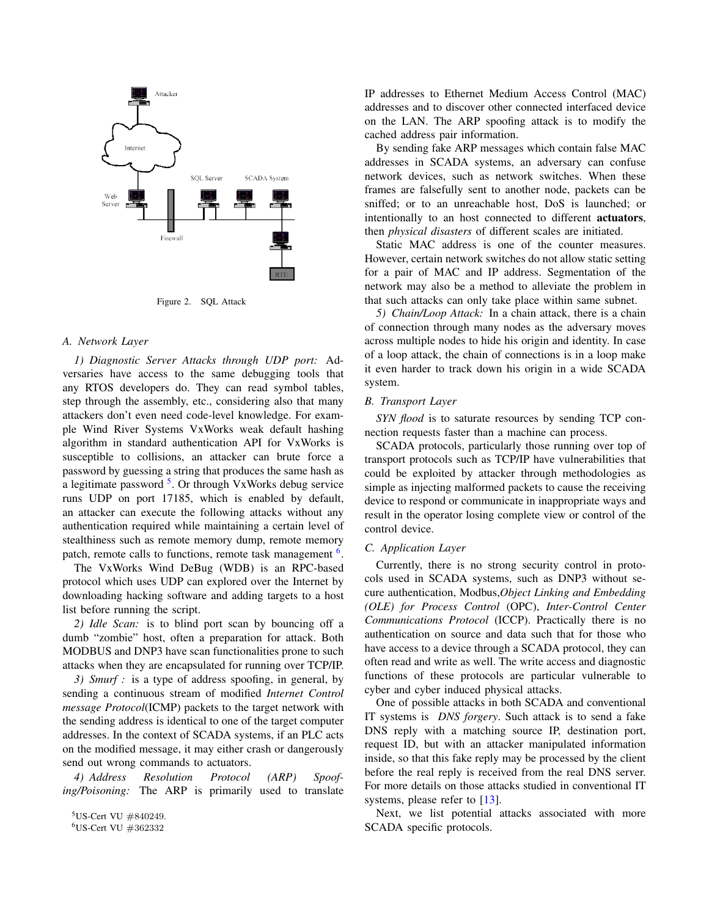

<span id="page-5-0"></span>Figure 2. SQL Attack

### *A. Network Layer*

*1) Diagnostic Server Attacks through UDP port:* Adversaries have access to the same debugging tools that any RTOS developers do. They can read symbol tables, step through the assembly, etc., considering also that many attackers don't even need code-level knowledge. For example Wind River Systems VxWorks weak default hashing algorithm in standard authentication API for VxWorks is susceptible to collisions, an attacker can brute force a password by guessing a string that produces the same hash as a legitimate password <sup>[5](#page-5-1)</sup>. Or through VxWorks debug service runs UDP on port 17185, which is enabled by default, an attacker can execute the following attacks without any authentication required while maintaining a certain level of stealthiness such as remote memory dump, remote memory patch, remote calls to functions, remote task management <sup>[6](#page-5-2)</sup>.

The VxWorks Wind DeBug (WDB) is an RPC-based protocol which uses UDP can explored over the Internet by downloading hacking software and adding targets to a host list before running the script.

*2) Idle Scan:* is to blind port scan by bouncing off a dumb "zombie" host, often a preparation for attack. Both MODBUS and DNP3 have scan functionalities prone to such attacks when they are encapsulated for running over TCP/IP.

*3) Smurf :* is a type of address spoofing, in general, by sending a continuous stream of modified *Internet Control message Protocol*(ICMP) packets to the target network with the sending address is identical to one of the target computer addresses. In the context of SCADA systems, if an PLC acts on the modified message, it may either crash or dangerously send out wrong commands to actuators.

*4) Address Resolution Protocol (ARP) Spoofing/Poisoning:* The ARP is primarily used to translate IP addresses to Ethernet Medium Access Control (MAC) addresses and to discover other connected interfaced device on the LAN. The ARP spoofing attack is to modify the cached address pair information.

By sending fake ARP messages which contain false MAC addresses in SCADA systems, an adversary can confuse network devices, such as network switches. When these frames are falsefully sent to another node, packets can be sniffed; or to an unreachable host, DoS is launched; or intentionally to an host connected to different actuators, then *physical disasters* of different scales are initiated.

Static MAC address is one of the counter measures. However, certain network switches do not allow static setting for a pair of MAC and IP address. Segmentation of the network may also be a method to alleviate the problem in that such attacks can only take place within same subnet.

*5) Chain/Loop Attack:* In a chain attack, there is a chain of connection through many nodes as the adversary moves across multiple nodes to hide his origin and identity. In case of a loop attack, the chain of connections is in a loop make it even harder to track down his origin in a wide SCADA system.

# *B. Transport Layer*

*SYN flood* is to saturate resources by sending TCP connection requests faster than a machine can process.

SCADA protocols, particularly those running over top of transport protocols such as TCP/IP have vulnerabilities that could be exploited by attacker through methodologies as simple as injecting malformed packets to cause the receiving device to respond or communicate in inappropriate ways and result in the operator losing complete view or control of the control device.

## *C. Application Layer*

Currently, there is no strong security control in protocols used in SCADA systems, such as DNP3 without secure authentication, Modbus,*Object Linking and Embedding (OLE) for Process Control* (OPC), *Inter-Control Center Communications Protocol* (ICCP). Practically there is no authentication on source and data such that for those who have access to a device through a SCADA protocol, they can often read and write as well. The write access and diagnostic functions of these protocols are particular vulnerable to cyber and cyber induced physical attacks.

One of possible attacks in both SCADA and conventional IT systems is *DNS forgery*. Such attack is to send a fake DNS reply with a matching source IP, destination port, request ID, but with an attacker manipulated information inside, so that this fake reply may be processed by the client before the real reply is received from the real DNS server. For more details on those attacks studied in conventional IT systems, please refer to [\[13\]](#page-8-4).

Next, we list potential attacks associated with more SCADA specific protocols.

<span id="page-5-1"></span><sup>5</sup>US-Cert VU #840249.

<span id="page-5-2"></span> $6$ US-Cert VU  $\#362332$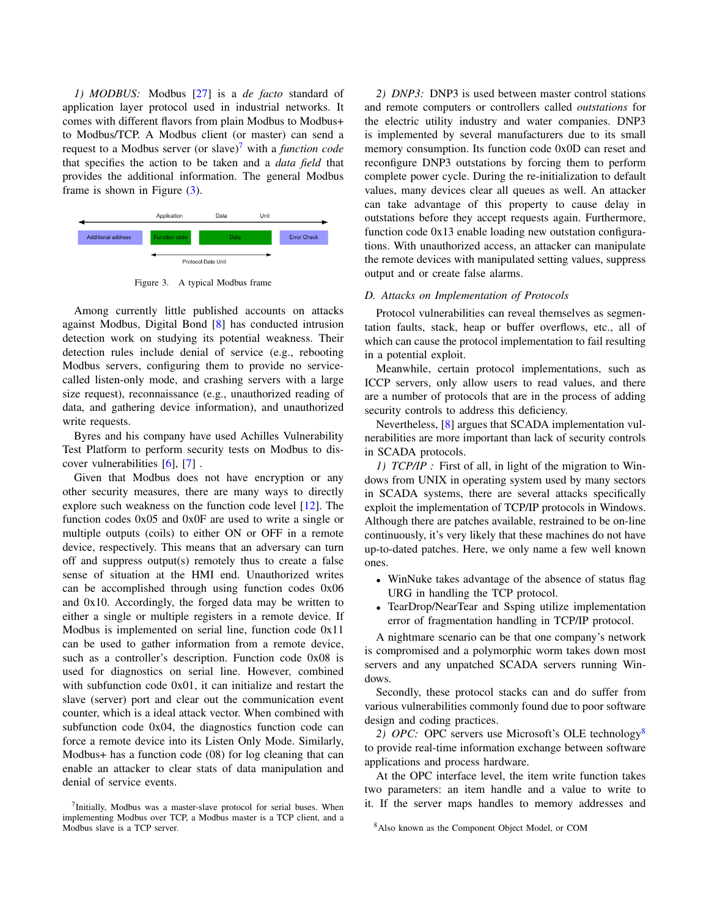*1) MODBUS:* Modbus [\[27\]](#page-8-20) is a *de facto* standard of application layer protocol used in industrial networks. It comes with different flavors from plain Modbus to Modbus+ to Modbus/TCP. A Modbus client (or master) can send a request to a Modbus server (or slave)[7](#page-6-0) with a *function code* that specifies the action to be taken and a *data field* that provides the additional information. The general Modbus frame is shown in Figure [\(3\)](#page-6-1).



<span id="page-6-1"></span>Figure 3. A typical Modbus frame

Among currently little published accounts on attacks against Modbus, Digital Bond [\[8\]](#page-7-5) has conducted intrusion detection work on studying its potential weakness. Their detection rules include denial of service (e.g., rebooting Modbus servers, configuring them to provide no servicecalled listen-only mode, and crashing servers with a large size request), reconnaissance (e.g., unauthorized reading of data, and gathering device information), and unauthorized write requests.

Byres and his company have used Achilles Vulnerability Test Platform to perform security tests on Modbus to discover vulnerabilities [\[6\]](#page-7-2), [\[7\]](#page-7-6) .

Given that Modbus does not have encryption or any other security measures, there are many ways to directly explore such weakness on the function code level [\[12\]](#page-8-21). The function codes 0x05 and 0x0F are used to write a single or multiple outputs (coils) to either ON or OFF in a remote device, respectively. This means that an adversary can turn off and suppress output(s) remotely thus to create a false sense of situation at the HMI end. Unauthorized writes can be accomplished through using function codes 0x06 and 0x10. Accordingly, the forged data may be written to either a single or multiple registers in a remote device. If Modbus is implemented on serial line, function code 0x11 can be used to gather information from a remote device, such as a controller's description. Function code 0x08 is used for diagnostics on serial line. However, combined with subfunction code 0x01, it can initialize and restart the slave (server) port and clear out the communication event counter, which is a ideal attack vector. When combined with subfunction code 0x04, the diagnostics function code can force a remote device into its Listen Only Mode. Similarly, Modbus+ has a function code (08) for log cleaning that can enable an attacker to clear stats of data manipulation and denial of service events.

*2) DNP3:* DNP3 is used between master control stations and remote computers or controllers called *outstations* for the electric utility industry and water companies. DNP3 is implemented by several manufacturers due to its small memory consumption. Its function code 0x0D can reset and reconfigure DNP3 outstations by forcing them to perform complete power cycle. During the re-initialization to default values, many devices clear all queues as well. An attacker can take advantage of this property to cause delay in outstations before they accept requests again. Furthermore, function code 0x13 enable loading new outstation configurations. With unauthorized access, an attacker can manipulate the remote devices with manipulated setting values, suppress output and or create false alarms.

#### *D. Attacks on Implementation of Protocols*

Protocol vulnerabilities can reveal themselves as segmentation faults, stack, heap or buffer overflows, etc., all of which can cause the protocol implementation to fail resulting in a potential exploit.

Meanwhile, certain protocol implementations, such as ICCP servers, only allow users to read values, and there are a number of protocols that are in the process of adding security controls to address this deficiency.

Nevertheless, [\[8\]](#page-7-5) argues that SCADA implementation vulnerabilities are more important than lack of security controls in SCADA protocols.

*1) TCP/IP :* First of all, in light of the migration to Windows from UNIX in operating system used by many sectors in SCADA systems, there are several attacks specifically exploit the implementation of TCP/IP protocols in Windows. Although there are patches available, restrained to be on-line continuously, it's very likely that these machines do not have up-to-dated patches. Here, we only name a few well known ones.

- WinNuke takes advantage of the absence of status flag URG in handling the TCP protocol.
- TearDrop/NearTear and Ssping utilize implementation error of fragmentation handling in TCP/IP protocol.

A nightmare scenario can be that one company's network is compromised and a polymorphic worm takes down most servers and any unpatched SCADA servers running Windows.

Secondly, these protocol stacks can and do suffer from various vulnerabilities commonly found due to poor software design and coding practices.

2) *OPC*: OPC servers use Microsoft's OLE technology<sup>[8](#page-6-2)</sup> to provide real-time information exchange between software applications and process hardware.

At the OPC interface level, the item write function takes two parameters: an item handle and a value to write to it. If the server maps handles to memory addresses and

<span id="page-6-0"></span> $7$ Initially, Modbus was a master-slave protocol for serial buses. When implementing Modbus over TCP, a Modbus master is a TCP client, and a Modbus slave is a TCP server.

<span id="page-6-2"></span><sup>8</sup>Also known as the Component Object Model, or COM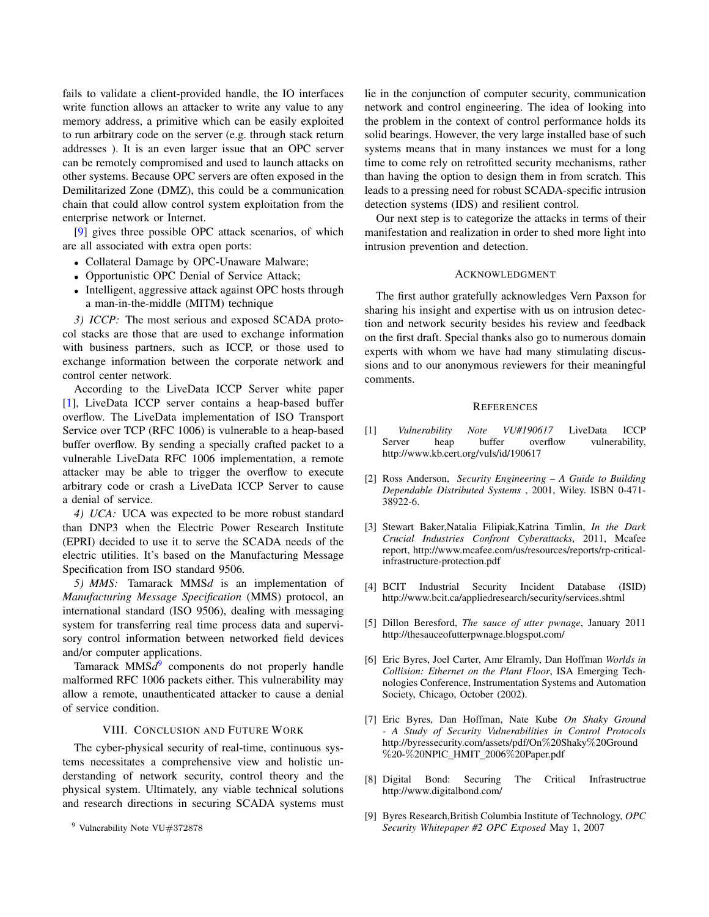fails to validate a client-provided handle, the IO interfaces write function allows an attacker to write any value to any memory address, a primitive which can be easily exploited to run arbitrary code on the server (e.g. through stack return addresses ). It is an even larger issue that an OPC server can be remotely compromised and used to launch attacks on other systems. Because OPC servers are often exposed in the Demilitarized Zone (DMZ), this could be a communication chain that could allow control system exploitation from the enterprise network or Internet.

[\[9\]](#page-7-7) gives three possible OPC attack scenarios, of which are all associated with extra open ports:

- Collateral Damage by OPC-Unaware Malware;
- Opportunistic OPC Denial of Service Attack;
- Intelligent, aggressive attack against OPC hosts through a man-in-the-middle (MITM) technique

*3) ICCP:* The most serious and exposed SCADA protocol stacks are those that are used to exchange information with business partners, such as ICCP, or those used to exchange information between the corporate network and control center network.

According to the LiveData ICCP Server white paper [\[1\]](#page-7-8), LiveData ICCP server contains a heap-based buffer overflow. The LiveData implementation of ISO Transport Service over TCP (RFC 1006) is vulnerable to a heap-based buffer overflow. By sending a specially crafted packet to a vulnerable LiveData RFC 1006 implementation, a remote attacker may be able to trigger the overflow to execute arbitrary code or crash a LiveData ICCP Server to cause a denial of service.

*4) UCA:* UCA was expected to be more robust standard than DNP3 when the Electric Power Research Institute (EPRI) decided to use it to serve the SCADA needs of the electric utilities. It's based on the Manufacturing Message Specification from ISO standard 9506.

*5) MMS:* Tamarack MMS*d* is an implementation of *Manufacturing Message Specification* (MMS) protocol, an international standard (ISO 9506), dealing with messaging system for transferring real time process data and supervisory control information between networked field devices and/or computer applications.

Tamarack MMS*d* [9](#page-7-9) components do not properly handle malformed RFC 1006 packets either. This vulnerability may allow a remote, unauthenticated attacker to cause a denial of service condition.

#### VIII. CONCLUSION AND FUTURE WORK

The cyber-physical security of real-time, continuous systems necessitates a comprehensive view and holistic understanding of network security, control theory and the physical system. Ultimately, any viable technical solutions and research directions in securing SCADA systems must lie in the conjunction of computer security, communication network and control engineering. The idea of looking into the problem in the context of control performance holds its solid bearings. However, the very large installed base of such systems means that in many instances we must for a long time to come rely on retrofitted security mechanisms, rather than having the option to design them in from scratch. This leads to a pressing need for robust SCADA-specific intrusion detection systems (IDS) and resilient control.

Our next step is to categorize the attacks in terms of their manifestation and realization in order to shed more light into intrusion prevention and detection.

#### ACKNOWLEDGMENT

The first author gratefully acknowledges Vern Paxson for sharing his insight and expertise with us on intrusion detection and network security besides his review and feedback on the first draft. Special thanks also go to numerous domain experts with whom we have had many stimulating discussions and to our anonymous reviewers for their meaningful comments.

#### **REFERENCES**

- <span id="page-7-8"></span>[1] *Vulnerability Note VU#190617* LiveData ICCP Server heap buffer overflow vulnerability, http://www.kb.cert.org/vuls/id/190617
- <span id="page-7-3"></span>[2] Ross Anderson, *Security Engineering – A Guide to Building Dependable Distributed Systems* , 2001, Wiley. ISBN 0-471- 38922-6.
- <span id="page-7-1"></span>[3] Stewart Baker,Natalia Filipiak,Katrina Timlin, *In the Dark Crucial Industries Confront Cyberattacks*, 2011, Mcafee report, http://www.mcafee.com/us/resources/reports/rp-criticalinfrastructure-protection.pdf
- <span id="page-7-0"></span>[4] BCIT Industrial Security Incident Database (ISID) http://www.bcit.ca/appliedresearch/security/services.shtml
- <span id="page-7-4"></span>[5] Dillon Beresford, *The sauce of utter pwnage*, January 2011 http://thesauceofutterpwnage.blogspot.com/
- <span id="page-7-2"></span>[6] Eric Byres, Joel Carter, Amr Elramly, Dan Hoffman *Worlds in Collision: Ethernet on the Plant Floor*, ISA Emerging Technologies Conference, Instrumentation Systems and Automation Society, Chicago, October (2002).
- <span id="page-7-6"></span>[7] Eric Byres, Dan Hoffman, Nate Kube *On Shaky Ground - A Study of Security Vulnerabilities in Control Protocols* http://byressecurity.com/assets/pdf/On%20Shaky%20Ground %20-%20NPIC HMIT 2006%20Paper.pdf
- <span id="page-7-5"></span>[8] Digital Bond: Securing The Critical Infrastructrue http://www.digitalbond.com/
- <span id="page-7-7"></span>[9] Byres Research,British Columbia Institute of Technology, *OPC Security Whitepaper #2 OPC Exposed* May 1, 2007

<span id="page-7-9"></span><sup>&</sup>lt;sup>9</sup> Vulnerability Note VU#372878